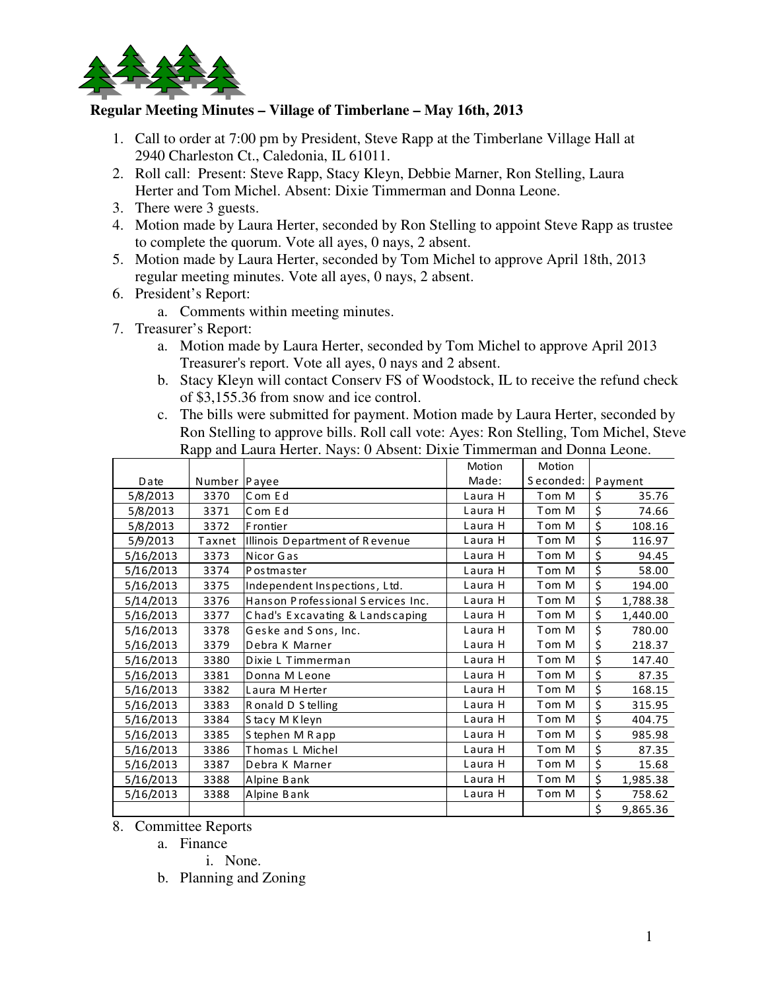

## **Regular Meeting Minutes – Village of Timberlane – May 16th, 2013**

- 1. Call to order at 7:00 pm by President, Steve Rapp at the Timberlane Village Hall at 2940 Charleston Ct., Caledonia, IL 61011.
- 2. Roll call: Present: Steve Rapp, Stacy Kleyn, Debbie Marner, Ron Stelling, Laura Herter and Tom Michel. Absent: Dixie Timmerman and Donna Leone.
- 3. There were 3 guests.
- 4. Motion made by Laura Herter, seconded by Ron Stelling to appoint Steve Rapp as trustee to complete the quorum. Vote all ayes, 0 nays, 2 absent.
- 5. Motion made by Laura Herter, seconded by Tom Michel to approve April 18th, 2013 regular meeting minutes. Vote all ayes, 0 nays, 2 absent.
- 6. President's Report:
	- a. Comments within meeting minutes.
- 7. Treasurer's Report:
	- a. Motion made by Laura Herter, seconded by Tom Michel to approve April 2013 Treasurer's report. Vote all ayes, 0 nays and 2 absent.
	- b. Stacy Kleyn will contact Conserv FS of Woodstock, IL to receive the refund check of \$3,155.36 from snow and ice control.
	- c. The bills were submitted for payment. Motion made by Laura Herter, seconded by Ron Stelling to approve bills. Roll call vote: Ayes: Ron Stelling, Tom Michel, Steve Rapp and Laura Herter. Nays: 0 Absent: Dixie Timmerman and Donna Leone.

|           |        |                                   | Motion  | Motion    |                |
|-----------|--------|-----------------------------------|---------|-----------|----------------|
| Date      | Number | Payee                             | Made:   | Seconded: | Payment        |
| 5/8/2013  | 3370   | Com Ed                            | Laura H | Tom M     | \$<br>35.76    |
| 5/8/2013  | 3371   | Com Ed                            | Laura H | Tom M     | \$<br>74.66    |
| 5/8/2013  | 3372   | F rontier                         | Laura H | Tom M     | \$<br>108.16   |
| 5/9/2013  | Taxnet | Illinois Department of Revenue    | Laura H | Tom M     | \$<br>116.97   |
| 5/16/2013 | 3373   | Nicor Gas                         | Laura H | Tom M     | \$<br>94.45    |
| 5/16/2013 | 3374   | P os tmas ter                     | Laura H | Tom M     | \$<br>58.00    |
| 5/16/2013 | 3375   | Independent Inspections, Ltd.     | Laura H | Tom M     | \$<br>194.00   |
| 5/14/2013 | 3376   | Hanson Professional Services Inc. | Laura H | Tom M     | \$<br>1,788.38 |
| 5/16/2013 | 3377   | Chad's Excavating & Landscaping   | Laura H | Tom M     | \$<br>1,440.00 |
| 5/16/2013 | 3378   | Geske and Sons, Inc.              | Laura H | Tom M     | \$<br>780.00   |
| 5/16/2013 | 3379   | Debra K Marner                    | Laura H | Tom M     | \$<br>218.37   |
| 5/16/2013 | 3380   | Dixie L Timmerman                 | Laura H | Tom M     | \$<br>147.40   |
| 5/16/2013 | 3381   | Donna M Leone                     | Laura H | Tom M     | \$<br>87.35    |
| 5/16/2013 | 3382   | Laura M Herter                    | Laura H | Tom M     | \$<br>168.15   |
| 5/16/2013 | 3383   | Ronald D S telling                | Laura H | Tom M     | \$<br>315.95   |
| 5/16/2013 | 3384   | Stacy M Kleyn                     | Laura H | Tom M     | \$<br>404.75   |
| 5/16/2013 | 3385   | Stephen M Rapp                    | Laura H | Tom M     | \$<br>985.98   |
| 5/16/2013 | 3386   | Thomas L Michel                   | Laura H | Tom M     | \$<br>87.35    |
| 5/16/2013 | 3387   | Debra K Marner                    | Laura H | Tom M     | \$<br>15.68    |
| 5/16/2013 | 3388   | Alpine Bank                       | Laura H | Tom M     | \$<br>1,985.38 |
| 5/16/2013 | 3388   | Alpine Bank                       | Laura H | Tom M     | \$<br>758.62   |
|           |        |                                   |         |           | \$<br>9,865.36 |

- 8. Committee Reports
	- a. Finance
		- i. None.
	- b. Planning and Zoning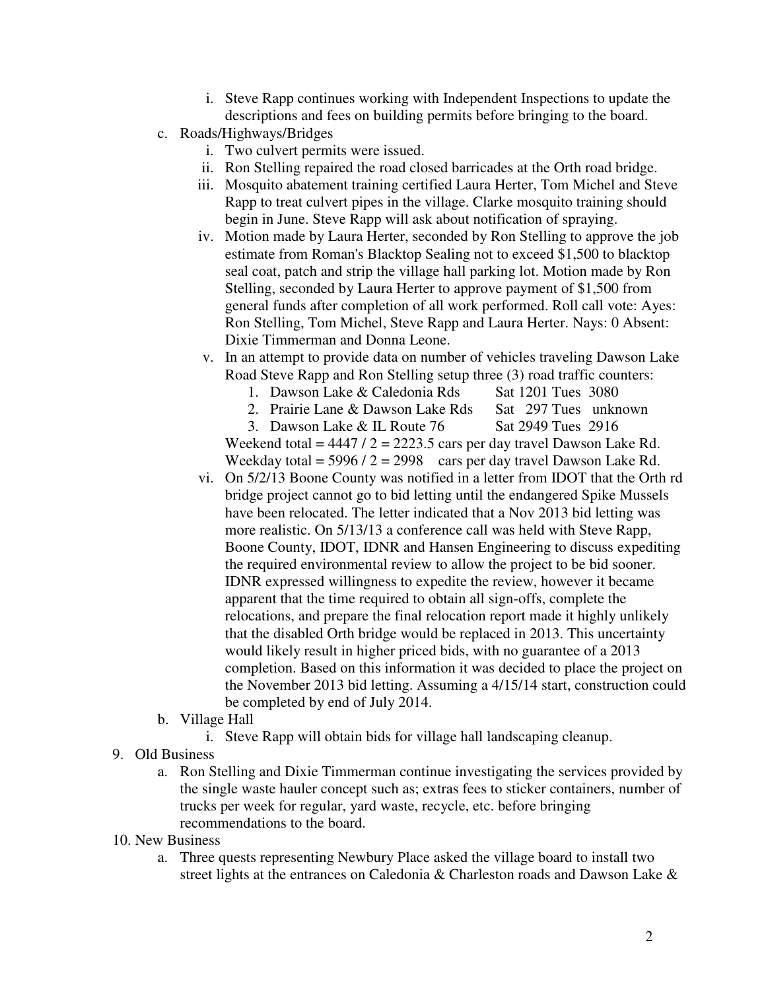- i. Steve Rapp continues working with Independent Inspections to update the descriptions and fees on building permits before bringing to the board.
- c. Roads/Highways/Bridges
	- i. Two culvert permits were issued.
	- ii. Ron Stelling repaired the road closed barricades at the Orth road bridge.
	- iii. Mosquito abatement training certified Laura Herter, Tom Michel and Steve Rapp to treat culvert pipes in the village. Clarke mosquito training should begin in June. Steve Rapp will ask about notification of spraying.
	- iv. Motion made by Laura Herter, seconded by Ron Stelling to approve the job estimate from Roman's Blacktop Sealing not to exceed \$1,500 to blacktop seal coat, patch and strip the village hall parking lot. Motion made by Ron Stelling, seconded by Laura Herter to approve payment of \$1,500 from general funds after completion of all work performed. Roll call vote: Ayes: Ron Stelling, Tom Michel, Steve Rapp and Laura Herter. Nays: 0 Absent: Dixie Timmerman and Donna Leone.
	- v. In an attempt to provide data on number of vehicles traveling Dawson Lake Road Steve Rapp and Ron Stelling setup three (3) road traffic counters:
		- 1. Dawson Lake & Caledonia Rds Sat 1201 Tues 3080
		- 2. Prairie Lane & Dawson Lake Rds Sat 297 Tues unknown
		- 3. Dawson Lake & IL Route 76 Sat 2949 Tues 2916

Weekend total =  $4447 / 2 = 2223.5$  cars per day travel Dawson Lake Rd. Weekday total =  $5996 / 2 = 2998$  cars per day travel Dawson Lake Rd.

- vi. On 5/2/13 Boone County was notified in a letter from IDOT that the Orth rd bridge project cannot go to bid letting until the endangered Spike Mussels have been relocated. The letter indicated that a Nov 2013 bid letting was more realistic. On 5/13/13 a conference call was held with Steve Rapp, Boone County, IDOT, IDNR and Hansen Engineering to discuss expediting the required environmental review to allow the project to be bid sooner. IDNR expressed willingness to expedite the review, however it became apparent that the time required to obtain all sign-offs, complete the relocations, and prepare the final relocation report made it highly unlikely that the disabled Orth bridge would be replaced in 2013. This uncertainty would likely result in higher priced bids, with no guarantee of a 2013 completion. Based on this information it was decided to place the project on the November 2013 bid letting. Assuming a 4/15/14 start, construction could be completed by end of July 2014.
- b. Village Hall
	- i. Steve Rapp will obtain bids for village hall landscaping cleanup.
- 9. Old Business
	- a. Ron Stelling and Dixie Timmerman continue investigating the services provided by the single waste hauler concept such as; extras fees to sticker containers, number of trucks per week for regular, yard waste, recycle, etc. before bringing recommendations to the board.
- 10. New Business
	- a. Three quests representing Newbury Place asked the village board to install two street lights at the entrances on Caledonia & Charleston roads and Dawson Lake &